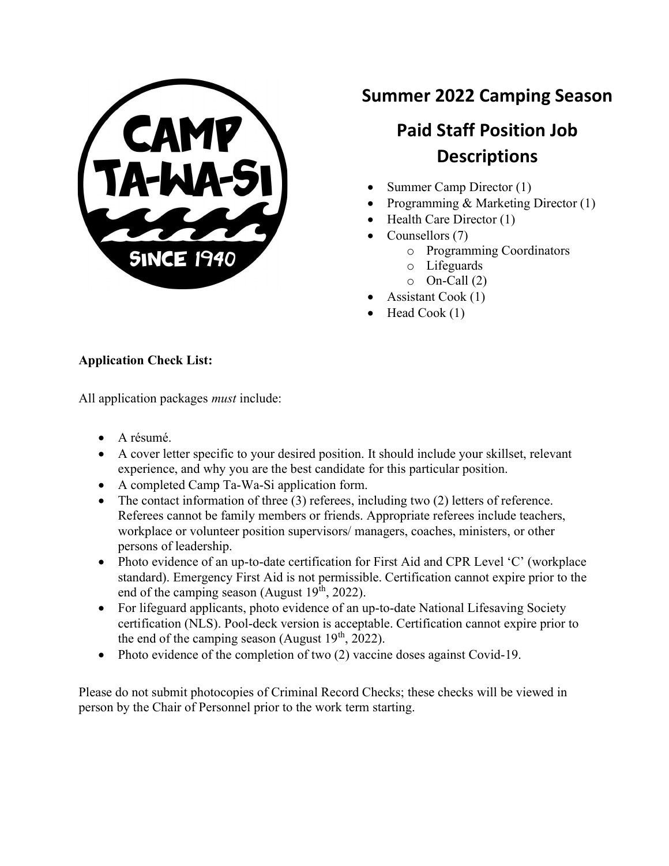

## Summer 2022 Camping Season

# Paid Staff Position Job **Descriptions**

- Summer Camp Director (1)
- Programming & Marketing Director (1)
- $\bullet$  Health Care Director (1)
- Counsellors (7)
	- o Programming Coordinators
	- o Lifeguards
	- $\circ$  On-Call (2)
- Assistant Cook (1)
- $\bullet$  Head Cook (1)

#### Application Check List:

All application packages must include:

- A résumé.
- A cover letter specific to your desired position. It should include your skillset, relevant experience, and why you are the best candidate for this particular position.
- A completed Camp Ta-Wa-Si application form.
- $\bullet$  The contact information of three (3) referees, including two (2) letters of reference. Referees cannot be family members or friends. Appropriate referees include teachers, workplace or volunteer position supervisors/ managers, coaches, ministers, or other persons of leadership.
- Photo evidence of an up-to-date certification for First Aid and CPR Level 'C' (workplace standard). Emergency First Aid is not permissible. Certification cannot expire prior to the end of the camping season (August  $19<sup>th</sup>$ , 2022).
- For lifeguard applicants, photo evidence of an up-to-date National Lifesaving Society certification (NLS). Pool-deck version is acceptable. Certification cannot expire prior to the end of the camping season (August  $19<sup>th</sup>$ , 2022).
- Photo evidence of the completion of two (2) vaccine doses against Covid-19.

Please do not submit photocopies of Criminal Record Checks; these checks will be viewed in person by the Chair of Personnel prior to the work term starting.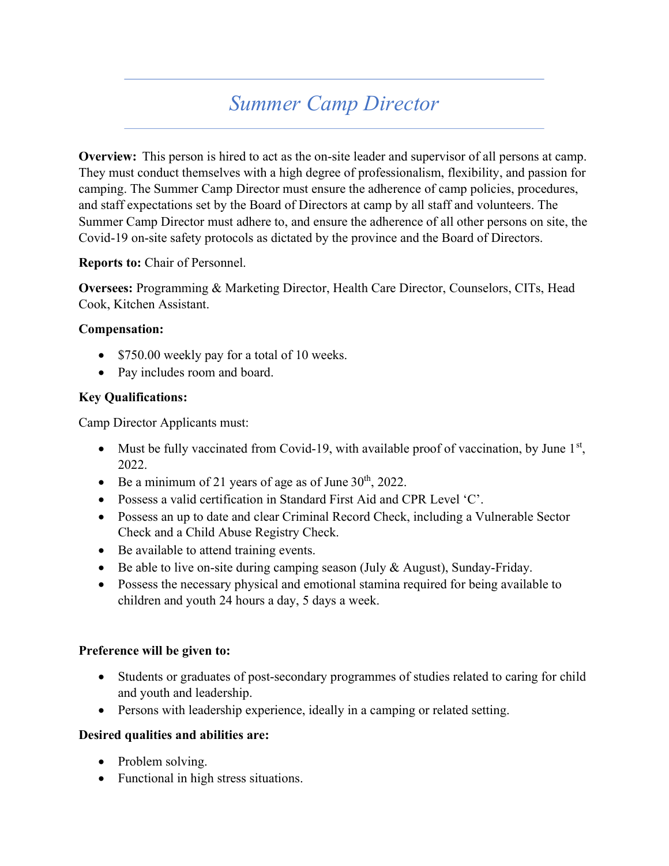# Summer Camp Director

Overview: This person is hired to act as the on-site leader and supervisor of all persons at camp. They must conduct themselves with a high degree of professionalism, flexibility, and passion for camping. The Summer Camp Director must ensure the adherence of camp policies, procedures, and staff expectations set by the Board of Directors at camp by all staff and volunteers. The Summer Camp Director must adhere to, and ensure the adherence of all other persons on site, the Covid-19 on-site safety protocols as dictated by the province and the Board of Directors.

#### Reports to: Chair of Personnel.

Oversees: Programming & Marketing Director, Health Care Director, Counselors, CITs, Head Cook, Kitchen Assistant.

#### Compensation:

- \$750.00 weekly pay for a total of 10 weeks.
- Pay includes room and board.

#### Key Qualifications:

Camp Director Applicants must:

- Must be fully vaccinated from Covid-19, with available proof of vaccination, by June  $1<sup>st</sup>$ , 2022.
- $\bullet$  Be a minimum of 21 years of age as of June 30<sup>th</sup>, 2022.
- Possess a valid certification in Standard First Aid and CPR Level 'C'.
- Possess an up to date and clear Criminal Record Check, including a Vulnerable Sector Check and a Child Abuse Registry Check.
- Be available to attend training events.
- Be able to live on-site during camping season (July & August), Sunday-Friday.
- Possess the necessary physical and emotional stamina required for being available to children and youth 24 hours a day, 5 days a week.

#### Preference will be given to:

- Students or graduates of post-secondary programmes of studies related to caring for child and youth and leadership.
- Persons with leadership experience, ideally in a camping or related setting.

#### Desired qualities and abilities are:

- Problem solving.
- Functional in high stress situations.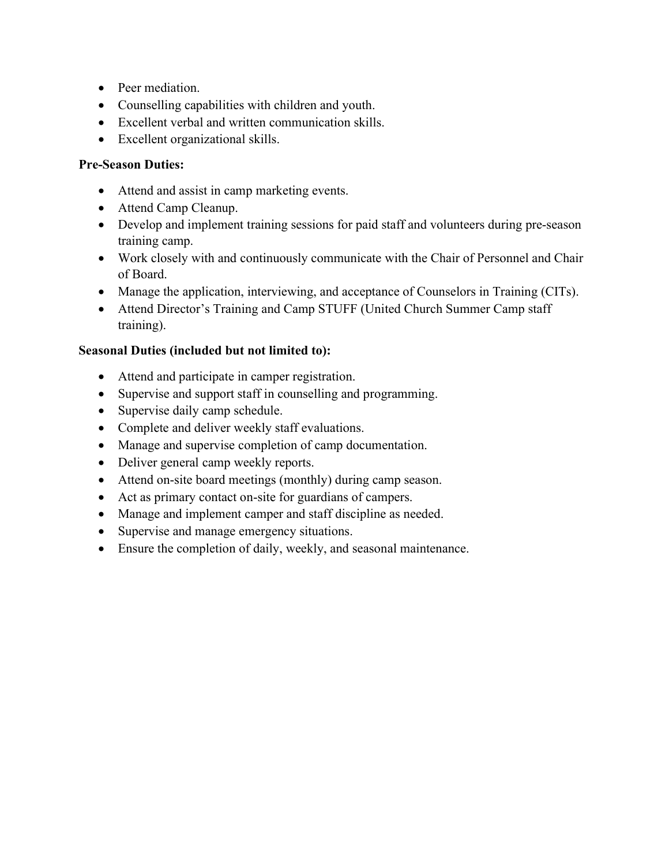- Peer mediation.
- Counselling capabilities with children and youth.
- Excellent verbal and written communication skills.
- Excellent organizational skills.

#### Pre-Season Duties:

- Attend and assist in camp marketing events.
- Attend Camp Cleanup.
- Develop and implement training sessions for paid staff and volunteers during pre-season training camp.
- Work closely with and continuously communicate with the Chair of Personnel and Chair of Board.
- Manage the application, interviewing, and acceptance of Counselors in Training (CITs).
- Attend Director's Training and Camp STUFF (United Church Summer Camp staff training).

#### Seasonal Duties (included but not limited to):

- Attend and participate in camper registration.
- Supervise and support staff in counselling and programming.
- Supervise daily camp schedule.
- Complete and deliver weekly staff evaluations.
- Manage and supervise completion of camp documentation.
- Deliver general camp weekly reports.
- Attend on-site board meetings (monthly) during camp season.
- Act as primary contact on-site for guardians of campers.
- Manage and implement camper and staff discipline as needed.
- Supervise and manage emergency situations.
- Ensure the completion of daily, weekly, and seasonal maintenance.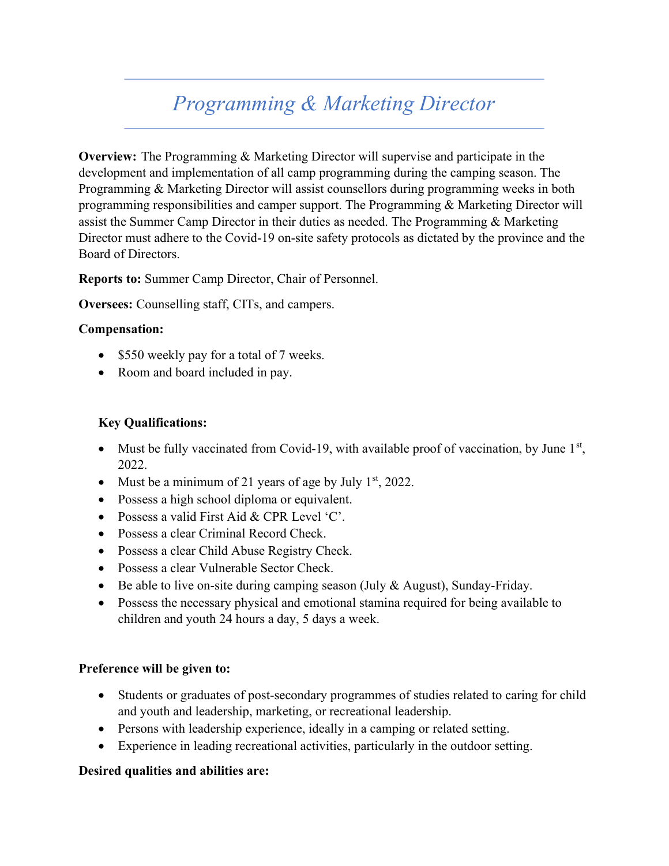# Programming & Marketing Director

Overview: The Programming & Marketing Director will supervise and participate in the development and implementation of all camp programming during the camping season. The Programming & Marketing Director will assist counsellors during programming weeks in both programming responsibilities and camper support. The Programming & Marketing Director will assist the Summer Camp Director in their duties as needed. The Programming & Marketing Director must adhere to the Covid-19 on-site safety protocols as dictated by the province and the Board of Directors.

Reports to: Summer Camp Director, Chair of Personnel.

Oversees: Counselling staff, CITs, and campers.

#### Compensation:

- \$550 weekly pay for a total of 7 weeks.
- Room and board included in pay.

#### Key Qualifications:

- Must be fully vaccinated from Covid-19, with available proof of vaccination, by June  $1<sup>st</sup>$ , 2022.
- Must be a minimum of 21 years of age by July  $1<sup>st</sup>$ , 2022.
- Possess a high school diploma or equivalent.
- Possess a valid First Aid & CPR Level 'C'.
- Possess a clear Criminal Record Check.
- Possess a clear Child Abuse Registry Check.
- Possess a clear Vulnerable Sector Check.
- Be able to live on-site during camping season (July & August), Sunday-Friday.
- Possess the necessary physical and emotional stamina required for being available to children and youth 24 hours a day, 5 days a week.

#### Preference will be given to:

- Students or graduates of post-secondary programmes of studies related to caring for child and youth and leadership, marketing, or recreational leadership.
- Persons with leadership experience, ideally in a camping or related setting.
- Experience in leading recreational activities, particularly in the outdoor setting.

#### Desired qualities and abilities are: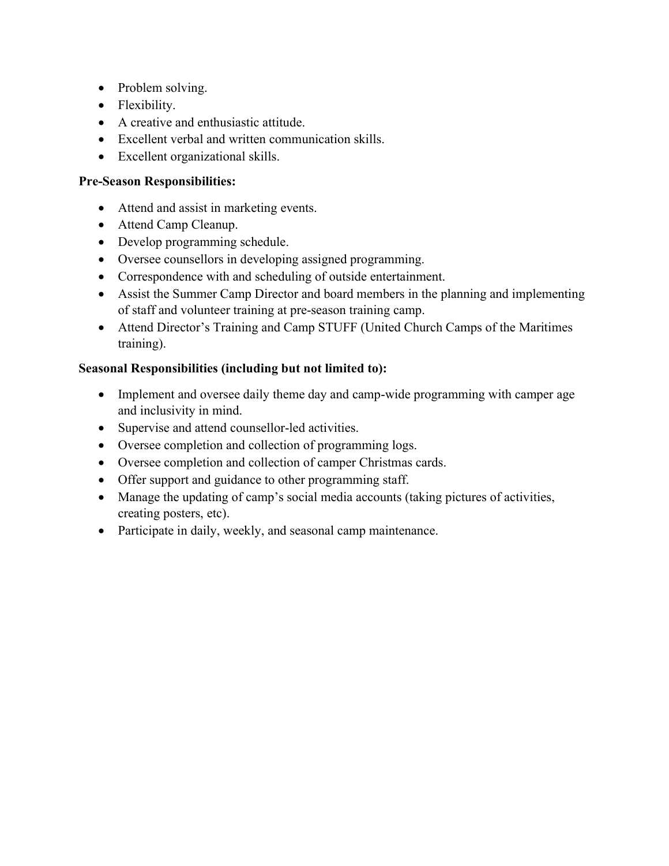- Problem solving.
- Flexibility.
- A creative and enthusiastic attitude.
- Excellent verbal and written communication skills.
- Excellent organizational skills.

#### Pre-Season Responsibilities:

- Attend and assist in marketing events.
- Attend Camp Cleanup.
- Develop programming schedule.
- Oversee counsellors in developing assigned programming.
- Correspondence with and scheduling of outside entertainment.
- Assist the Summer Camp Director and board members in the planning and implementing of staff and volunteer training at pre-season training camp.
- Attend Director's Training and Camp STUFF (United Church Camps of the Maritimes training).

- Implement and oversee daily theme day and camp-wide programming with camper age and inclusivity in mind.
- Supervise and attend counsellor-led activities.
- Oversee completion and collection of programming logs.
- Oversee completion and collection of camper Christmas cards.
- Offer support and guidance to other programming staff.
- Manage the updating of camp's social media accounts (taking pictures of activities, creating posters, etc).
- Participate in daily, weekly, and seasonal camp maintenance.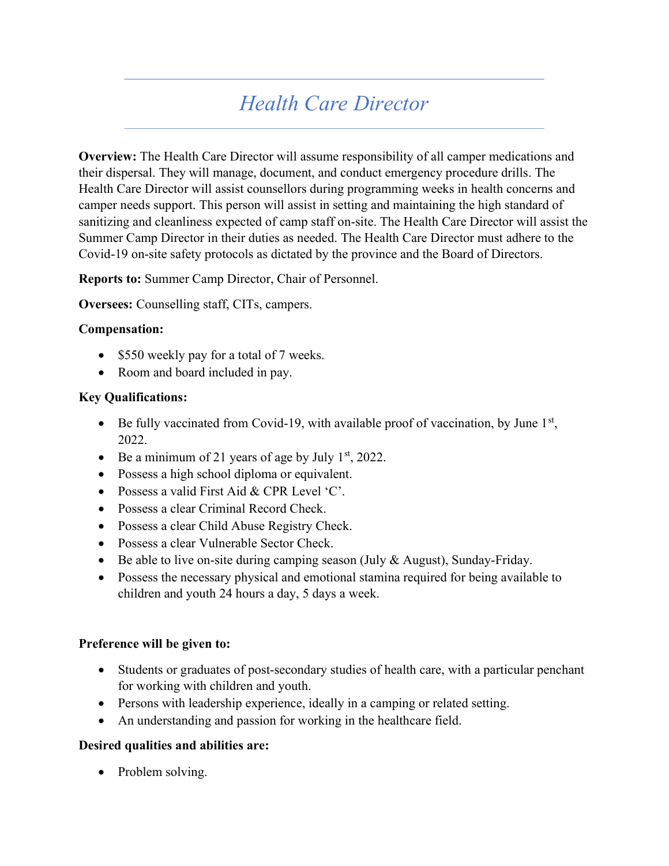# Health Care Director

Overview: The Health Care Director will assume responsibility of all camper medications and their dispersal. They will manage, document, and conduct emergency procedure drills. The Health Care Director will assist counsellors during programming weeks in health concerns and camper needs support. This person will assist in setting and maintaining the high standard of sanitizing and cleanliness expected of camp staff on-site. The Health Care Director will assist the Summer Camp Director in their duties as needed. The Health Care Director must adhere to the Covid-19 on-site safety protocols as dictated by the province and the Board of Directors.

Reports to: Summer Camp Director, Chair of Personnel.

Oversees: Counselling staff, CITs, campers.

#### Compensation:

- \$550 weekly pay for a total of 7 weeks.
- Room and board included in pay.

#### Key Qualifications:

- $\bullet$  Be fully vaccinated from Covid-19, with available proof of vaccination, by June  $1<sup>st</sup>$ , 2022.
- Be a minimum of 21 years of age by July  $1<sup>st</sup>$ , 2022.
- Possess a high school diploma or equivalent.
- Possess a valid First Aid & CPR Level 'C'.
- Possess a clear Criminal Record Check.
- Possess a clear Child Abuse Registry Check.
- Possess a clear Vulnerable Sector Check.
- Be able to live on-site during camping season (July  $&$  August), Sunday-Friday.
- Possess the necessary physical and emotional stamina required for being available to children and youth 24 hours a day, 5 days a week.

#### Preference will be given to:

- Students or graduates of post-secondary studies of health care, with a particular penchant for working with children and youth.
- Persons with leadership experience, ideally in a camping or related setting.
- An understanding and passion for working in the healthcare field.

#### Desired qualities and abilities are:

• Problem solving.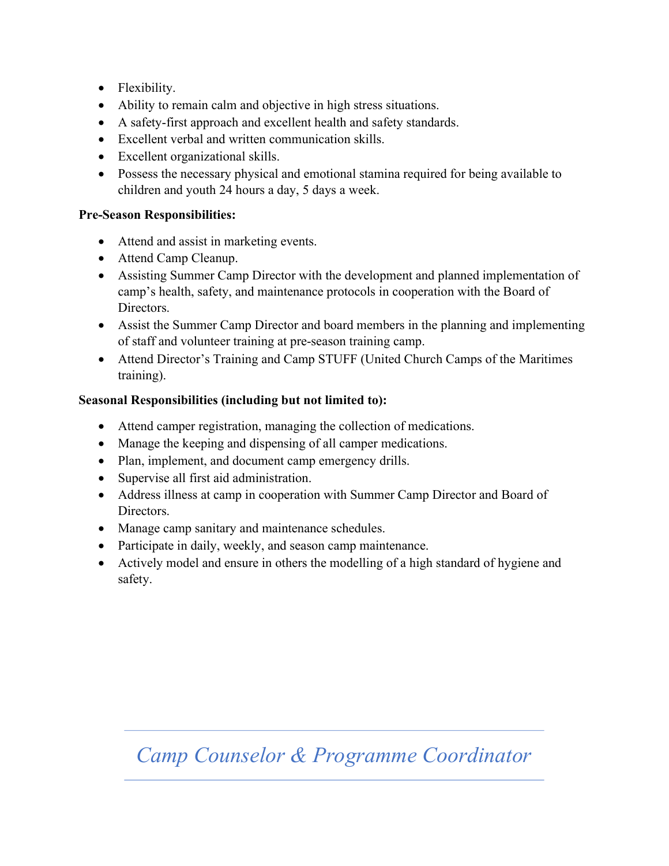- Flexibility.
- Ability to remain calm and objective in high stress situations.
- A safety-first approach and excellent health and safety standards.
- Excellent verbal and written communication skills.
- Excellent organizational skills.
- Possess the necessary physical and emotional stamina required for being available to children and youth 24 hours a day, 5 days a week.

### Pre-Season Responsibilities:

- Attend and assist in marketing events.
- Attend Camp Cleanup.
- Assisting Summer Camp Director with the development and planned implementation of camp's health, safety, and maintenance protocols in cooperation with the Board of Directors.
- Assist the Summer Camp Director and board members in the planning and implementing of staff and volunteer training at pre-season training camp.
- Attend Director's Training and Camp STUFF (United Church Camps of the Maritimes training).

#### Seasonal Responsibilities (including but not limited to):

- Attend camper registration, managing the collection of medications.
- Manage the keeping and dispensing of all camper medications.
- Plan, implement, and document camp emergency drills.
- Supervise all first aid administration.
- Address illness at camp in cooperation with Summer Camp Director and Board of Directors.
- Manage camp sanitary and maintenance schedules.
- Participate in daily, weekly, and season camp maintenance.
- Actively model and ensure in others the modelling of a high standard of hygiene and safety.

# Camp Counselor & Programme Coordinator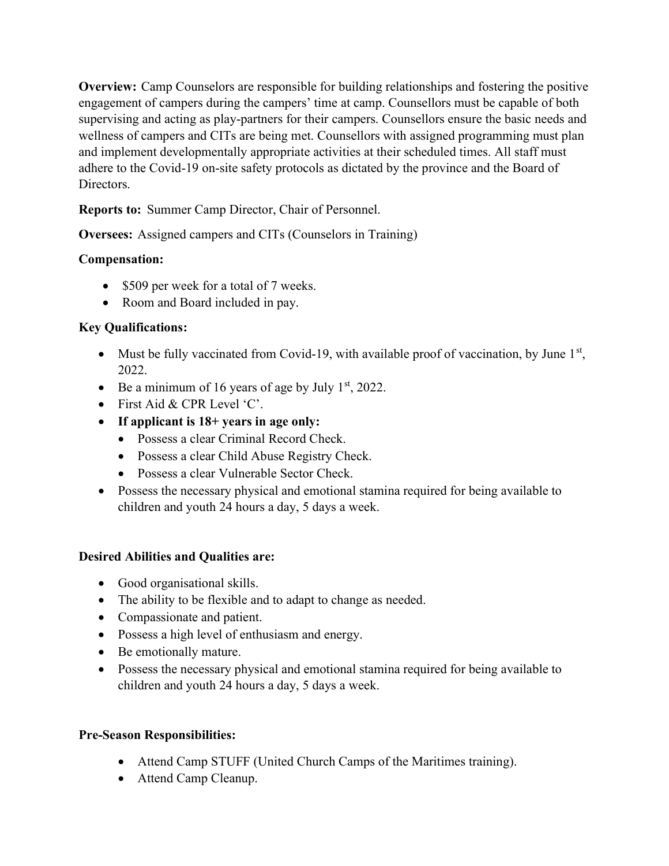Overview: Camp Counselors are responsible for building relationships and fostering the positive engagement of campers during the campers' time at camp. Counsellors must be capable of both supervising and acting as play-partners for their campers. Counsellors ensure the basic needs and wellness of campers and CITs are being met. Counsellors with assigned programming must plan and implement developmentally appropriate activities at their scheduled times. All staff must adhere to the Covid-19 on-site safety protocols as dictated by the province and the Board of Directors.

Reports to: Summer Camp Director, Chair of Personnel.

Oversees: Assigned campers and CITs (Counselors in Training)

#### Compensation:

- \$509 per week for a total of 7 weeks.
- Room and Board included in pay.

#### Key Qualifications:

- Must be fully vaccinated from Covid-19, with available proof of vaccination, by June  $1<sup>st</sup>$ , 2022.
- Be a minimum of 16 years of age by July  $1<sup>st</sup>$ , 2022.
- First Aid & CPR Level 'C'.
- If applicant is 18+ years in age only:
	- Possess a clear Criminal Record Check.
	- Possess a clear Child Abuse Registry Check.
	- Possess a clear Vulnerable Sector Check.
- Possess the necessary physical and emotional stamina required for being available to children and youth 24 hours a day, 5 days a week.

#### Desired Abilities and Qualities are:

- Good organisational skills.
- The ability to be flexible and to adapt to change as needed.
- Compassionate and patient.
- Possess a high level of enthusiasm and energy.
- Be emotionally mature.
- Possess the necessary physical and emotional stamina required for being available to children and youth 24 hours a day, 5 days a week.

#### Pre-Season Responsibilities:

- Attend Camp STUFF (United Church Camps of the Maritimes training).
- Attend Camp Cleanup.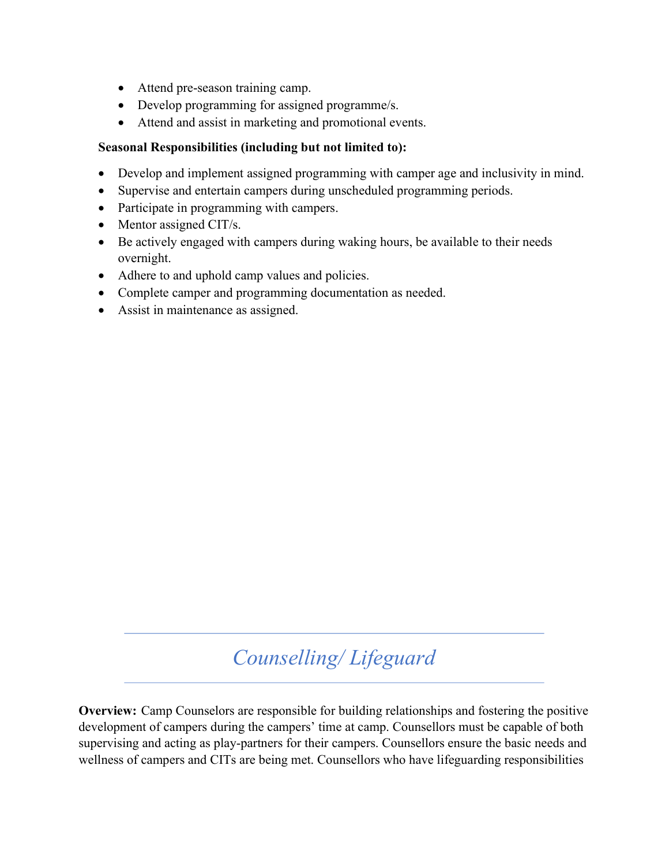- Attend pre-season training camp.
- Develop programming for assigned programme/s.
- Attend and assist in marketing and promotional events.

#### Seasonal Responsibilities (including but not limited to):

- Develop and implement assigned programming with camper age and inclusivity in mind.
- Supervise and entertain campers during unscheduled programming periods.
- Participate in programming with campers.
- $\bullet$  Mentor assigned CIT/s.
- Be actively engaged with campers during waking hours, be available to their needs overnight.
- Adhere to and uphold camp values and policies.
- Complete camper and programming documentation as needed.
- Assist in maintenance as assigned.

# Counselling/ Lifeguard

Overview: Camp Counselors are responsible for building relationships and fostering the positive development of campers during the campers' time at camp. Counsellors must be capable of both supervising and acting as play-partners for their campers. Counsellors ensure the basic needs and wellness of campers and CITs are being met. Counsellors who have lifeguarding responsibilities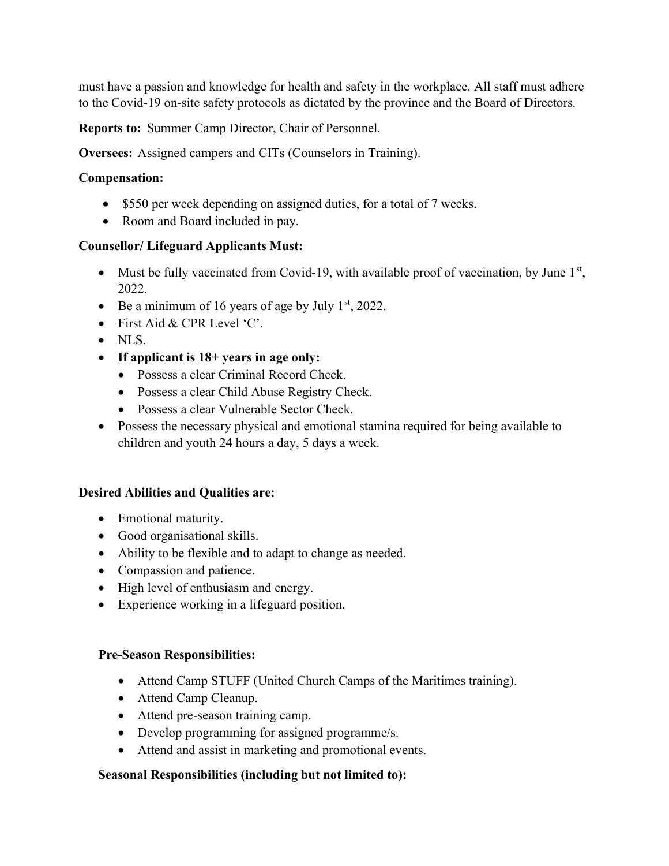must have a passion and knowledge for health and safety in the workplace. All staff must adhere to the Covid-19 on-site safety protocols as dictated by the province and the Board of Directors.

Reports to: Summer Camp Director, Chair of Personnel.

Oversees: Assigned campers and CITs (Counselors in Training).

#### Compensation:

- \$550 per week depending on assigned duties, for a total of 7 weeks.
- Room and Board included in pay.

#### Counsellor/ Lifeguard Applicants Must:

- Must be fully vaccinated from Covid-19, with available proof of vaccination, by June  $1<sup>st</sup>$ , 2022.
- Be a minimum of 16 years of age by July  $1<sup>st</sup>$ , 2022.
- First Aid & CPR Level 'C'.
- NLS.
- If applicant is  $18+$  years in age only:
	- Possess a clear Criminal Record Check.
	- Possess a clear Child Abuse Registry Check.
	- Possess a clear Vulnerable Sector Check.
- Possess the necessary physical and emotional stamina required for being available to children and youth 24 hours a day, 5 days a week.

#### Desired Abilities and Qualities are:

- Emotional maturity.
- Good organisational skills.
- Ability to be flexible and to adapt to change as needed.
- Compassion and patience.
- High level of enthusiasm and energy.
- Experience working in a lifeguard position.

#### Pre-Season Responsibilities:

- Attend Camp STUFF (United Church Camps of the Maritimes training).
- Attend Camp Cleanup.
- Attend pre-season training camp.
- Develop programming for assigned programme/s.
- Attend and assist in marketing and promotional events.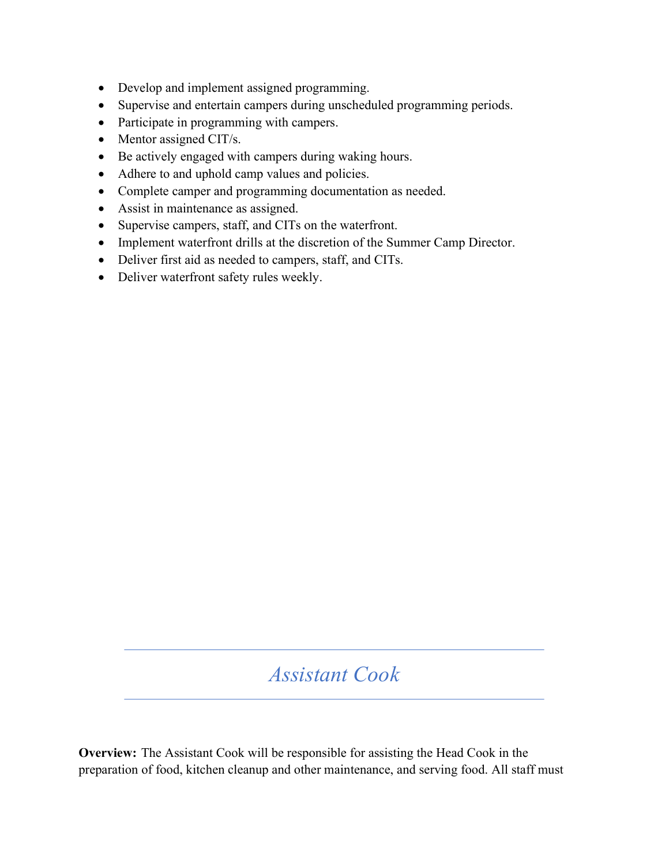- Develop and implement assigned programming.
- Supervise and entertain campers during unscheduled programming periods.
- Participate in programming with campers.
- Mentor assigned CIT/s.
- Be actively engaged with campers during waking hours.
- Adhere to and uphold camp values and policies.
- Complete camper and programming documentation as needed.
- Assist in maintenance as assigned.
- Supervise campers, staff, and CITs on the waterfront.
- Implement waterfront drills at the discretion of the Summer Camp Director.
- Deliver first aid as needed to campers, staff, and CITs.
- Deliver waterfront safety rules weekly.

# Assistant Cook

Overview: The Assistant Cook will be responsible for assisting the Head Cook in the preparation of food, kitchen cleanup and other maintenance, and serving food. All staff must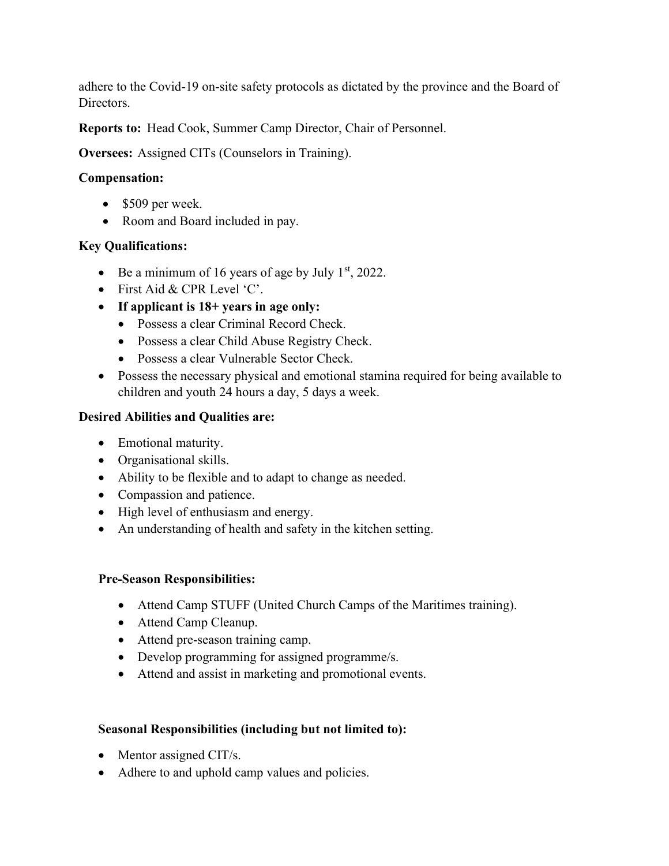adhere to the Covid-19 on-site safety protocols as dictated by the province and the Board of Directors.

Reports to: Head Cook, Summer Camp Director, Chair of Personnel.

Oversees: Assigned CITs (Counselors in Training).

### Compensation:

- $\bullet$  \$509 per week.
- Room and Board included in pay.

## Key Qualifications:

- Be a minimum of 16 years of age by July  $1<sup>st</sup>$ , 2022.
- First Aid & CPR Level 'C'.
- If applicant is 18+ years in age only:
	- Possess a clear Criminal Record Check.
	- Possess a clear Child Abuse Registry Check.
	- Possess a clear Vulnerable Sector Check.
- Possess the necessary physical and emotional stamina required for being available to children and youth 24 hours a day, 5 days a week.

## Desired Abilities and Qualities are:

- Emotional maturity.
- Organisational skills.
- Ability to be flexible and to adapt to change as needed.
- Compassion and patience.
- High level of enthusiasm and energy.
- An understanding of health and safety in the kitchen setting.

## Pre-Season Responsibilities:

- Attend Camp STUFF (United Church Camps of the Maritimes training).
- Attend Camp Cleanup.
- Attend pre-season training camp.
- Develop programming for assigned programme/s.
- Attend and assist in marketing and promotional events.

- Mentor assigned CIT/s.
- Adhere to and uphold camp values and policies.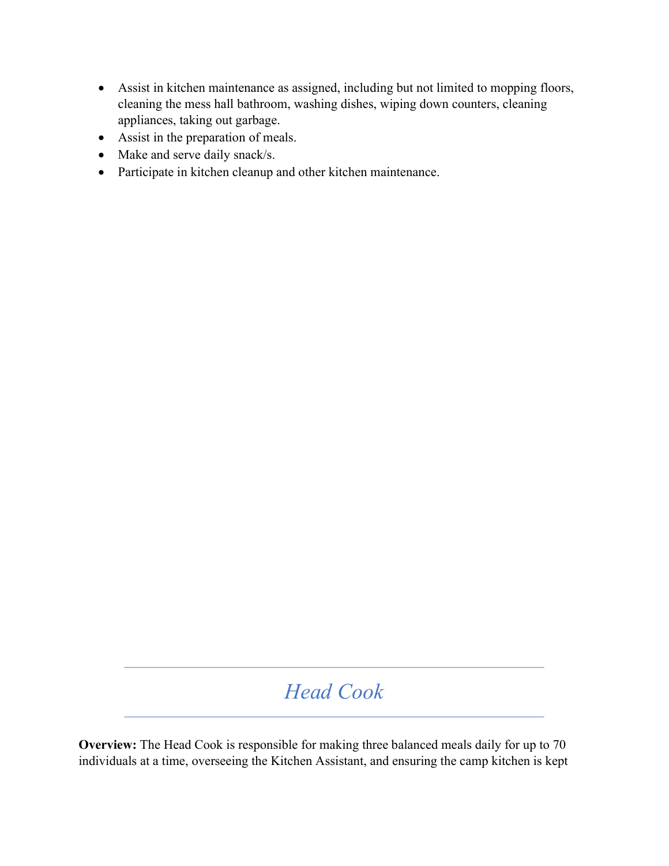- Assist in kitchen maintenance as assigned, including but not limited to mopping floors, cleaning the mess hall bathroom, washing dishes, wiping down counters, cleaning appliances, taking out garbage.
- Assist in the preparation of meals.
- Make and serve daily snack/s.
- Participate in kitchen cleanup and other kitchen maintenance.

# Head Cook

Overview: The Head Cook is responsible for making three balanced meals daily for up to 70 individuals at a time, overseeing the Kitchen Assistant, and ensuring the camp kitchen is kept